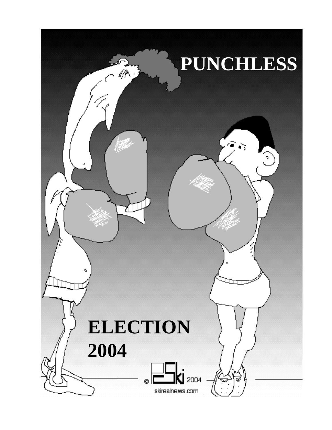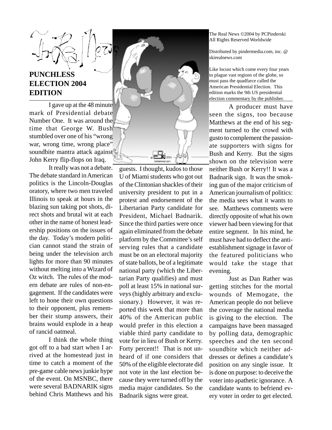## **PUNCHLESS ELECTION 2004 EDITION**

I gave up at the 48 minute mark of Presidential debate Number One. It was around the time that George W. Bush stumbled over one of his "wrong war, wrong time, wrong place" soundbite mantra attack against John Kerry flip-flops on Iraq.

It really was not a debate. The debate standard in American politics is the Lincoln-Douglas oratory, where two men traveled Illinois to speak at hours in the blazing sun taking pot shots, direct shots and brutal wit at each other in the name of honest leadership positions on the issues of the day. Today's modern politician cannot stand the strain of being under the television arch lights for more than 90 minutes without melting into a Wizard of Oz witch. The rules of the modern debate are rules of non-engagement. If the candidates were left to hone their own questions to their opponent, plus remember their stump answers, their brains would explode in a heap of rancid oatmeal.

I think the whole thing got off to a bad start when I arrived at the homestead just in time to catch a moment of the pre-game cable news junkie hype of the event. On MSNBC, there were several BADNARIK signs behind Chris Matthews and his



guests. I thought, kudos to those U of Miami students who got out of the Clintonian shackles of their university president to put in a protest and endorsement of the Libertarian Party candidate for President, Michael Badnarik. Since the third parties were once again eliminated from the debate platform by the Committee's self serving rules that a candidate must be on an electoral majority of state ballots, be of a legitimate national party (which the Libertarian Party qualifies) and must poll at least 15% in national surveys (highly arbitrary and exclusionary.) However, it was reported this week that more than 40% of the American public would prefer in this election a viable third party candidate to vote for in lieu of Bush or Kerry. Forty percent!! That is not unheard of if one considers that 50% of the eligible electorate did not vote in the last election because they were turned off by the media major candidates. So the Badnarik signs were great.

The Real News ©2004 by PCPinderski All Rights Reserved Worldwide

Distributed by pindermedia.com, inc. @ skirealnews.com

Like locust which come every four years to plague vast regions of the globe, so must pass the quadfarce called the American Presidential Election. This edition marks the 9th US presidential election commentary by the publisher.

A producer must have seen the signs, too because Matthews at the end of his segment turned to the crowd with gusto to complement the passionate supporters with signs for Bush and Kerry. But the signs shown on the television were neither Bush or Kerry!! It was a Badnarik sign. It was the smoking gun of the major criticism of American journalism of politics: the media sees what it wants to see. Matthews comments were directly opposite of what his own viewer had been viewing for that entire segment. In his mind, he must have had to deflect the antiestablishment signage in favor of the featured politicians who would take the stage that evening.

Just as Dan Rather was getting stitches for the mortal wounds of Memogate, the American people do not believe the coverage the national media is giving to the election. The campaigns have been massaged by polling data, demographic speeches and the ten second soundbite which neither addresses or defines a candidate's position on any single issue. It is done on purpose: to deceive the voter into apathetic ignorance. A candidate wants to befriend every voter in order to get elected.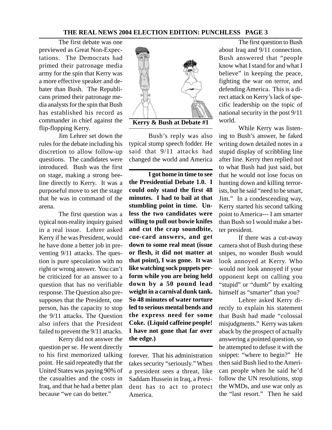The first debate was one previewed as Great Non-Expectations. The Democrats had primed their patronage media army for the spin that Kerry was a more effective speaker and debater than Bush. The Republicans primed their patronage media analysts for the spin that Bush has established his record as commander in chief against the flip-flopping Kerry.

Jim Lehrer set down the rules for the debate including his discretion to allow follow-up questions. The candidates were introduced. Bush was the first on stage, making a strong beeline directly to Kerry. It was a purposeful move to set the stage that he was in command of the arena.

The first question was a typical non-reality inquiry guised in a real issue. Lehrer asked Kerry if he was President, would he have done a better job in preventing 9/11 attacks. The question is pure speculation with no right or wrong answer. You can't be criticized for an answer to a question that has no verifiable response. The Question also presupposes that the President, one person, has the capacity to stop the 9/11 attacks. The Question also infers that the President failed to prevent the 9/11 attacks.

Kerry did not answer the question per se. He went directly to his first memorized talking point. He said repeatedly that the United States was paying 90% of the casualties and the costs in Iraq, and that he had a better plan because "we can do better."



**Kerry & Bush at Debate #1**

Bush's reply was also typical stump speech fodder. He said that 9/11 attacks had changed the world and America

**I got home in time to see the Presidential Debate 1.0. I could only stand the first 48 minutes. I had to bail at that stumbling point in time. Unless the two candidates were willing to pull out bowie knifes and cut the crap soundbite, cue-card answers, and get down to some real meat (issue or flesh, it did not matter at that point), I was gone. It was like watching sock puppets perform while you are being held down by a 50 pound lead weight in a carnival dunk tank. So 48 minutes of water torture led to serious mental bends and the express need for some Coke. (Liquid caffeine people! I have not gone that far over the edge.)**

forever. That his administration takes security "seriously." When a president sees a threat, like Saddam Hussein in Iraq, a President has to act to protect America.

The first question to Bush about Iraq and 9/11 connection. Bush answered that "people know what I stand for and what I believe" in keeping the peace, fighting the war on terror, and defending America. This is a direct attack on Kerry's lack of specific leadership on the topic of national security in the post 9/11 world.

While Kerry was listening to Bush's answer, he faked writing down detailed notes in a stupid display of scribbling line after line. Kerry then replied not to what Bush had just said, but that he would not lose focus on hunting down and killing terrorists, but he said "need to be smart, Jim." In a condescending way, Kerry started his second talking point to America--- I am smarter than Bush so I would make a better president.

If there was a cut-away camera shot of Bush during these snipes, no wonder Bush would look annoyed at Kerry. Who would not look annoyed if your opponent kept on calling you "stupid" or "dumb" by exalting himself as "smarter" than you?

Lehrer asked Kerry directly to explain his statement that Bush had made "colossal misjudgments." Kerry was taken aback by the prospect of actually answering a pointed question, so he attempted to defuse it with the snippet: "where to begin?" He then said Bush lied to the American people when he said he'd follow the UN resolutions, stop the WMDs, and use war only as the "last resort." Then he said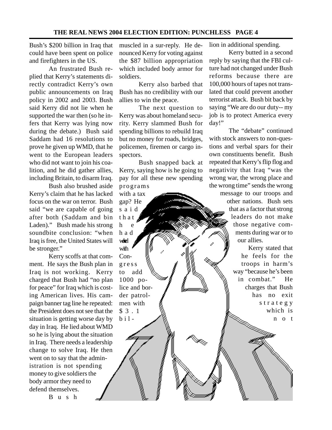Bush's \$200 billion in Iraq that could have been spent on police and firefighters in the US.

An frustrated Bush replied that Kerry's statements directly contradict Kerry's own public announcements on Iraq policy in 2002 and 2003. Bush said Kerry did not lie when he supported the war then (so he infers that Kerry was lying now during the debate.) Bush said Saddam had 16 resolutions to prove he given up WMD, that he went to the European leaders who did not want to join his coalition, and he did gather allies, including Britain, to disarm Iraq.

Bush also brushed aside Kerry's claim that he has lacked focus on the war on terror. Bush said "we are capable of going after both (Saddam and bin Laden)." Bush made his strong soundbite conclusion: "when Iraq is free, the United States will be stronger."

Kerry scoffs at that comment. He says the Bush plan in Iraq is not working. Kerry charged that Bush had "no plan for peace" for Iraq which is costing American lives. His campaign banner tag line he repeated: the President does not see that the situation is getting worse day by day in Iraq. He lied about WMD so he is lying about the situation in Iraq. There needs a leadership change to solve Iraq. He then went on to say that the administration is not spending money to give soldiers the body armor they need to defend themselves.

Bush

muscled in a sur-reply. He denounced Kerry for voting against the \$87 billion appropriation which included body armor for soldiers.

Kerry also barbed that Bush has no credibility with our allies to win the peace.

The next question to Kerry was about homeland security. Kerry slammed Bush for spending billions to rebuild Iraq but no money for roads, bridges, policemen, firemen or cargo inspectors.

Bush snapped back at Kerry, saying how is he going to pay for all these new spending programs

gap? He said that h e had wed with Congress to add 1000 police and border patrolmen with \$3.1 bil-

with a tax

lion in additional spending.

Kerry butted in a second reply by saying that the FBI culture had not changed under Bush reforms because there are 100,000 hours of tapes not translated that could prevent another terrorist attack. Bush bit back by saying "We are do our duty-- my job is to protect America every day!"

The "debate" continued with stock answers to non-questions and verbal spars for their own constituents benefit. Bush repeated that Kerry's flip flog and negativity that Iraq "was the wrong war, the wrong place and the wrong time" sends the wrong

message to our troops and other nations. Bush sets that as a factor that strong leaders do not make those negative comments during war or to our allies.

> Kerry stated that he feels for the troops in harm's way "because he's been in combat." He charges that Bush has no exit strategy which is not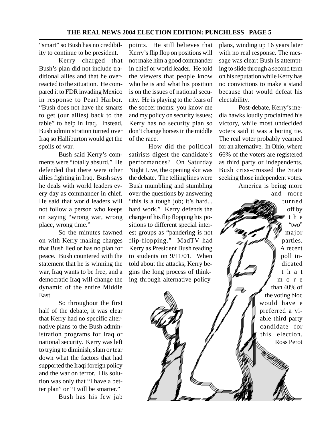"smart" so Bush has no credibility to continue to be president.

Kerry charged that Bush's plan did not include traditional allies and that he overreacted to the situation. He compared it to FDR invading Mexico in response to Pearl Harbor. "Bush does not have the smarts to get (our allies) back to the table" to help in Iraq. Instead, Bush administration turned over Iraq so Halliburton would get the spoils of war.

Bush said Kerry's comments were "totally absurd." He defended that there were other allies fighting in Iraq. Bush says he deals with world leaders every day as commander in chief. He said that world leaders will not follow a person who keeps on saying "wrong war, wrong place, wrong time."

So the minutes fawned on with Kerry making charges that Bush lied or has no plan for peace. Bush countered with the statement that he is winning the war, Iraq wants to be free, and a democratic Iraq will change the dynamic of the entire Middle East.

So throughout the first half of the debate, it was clear that Kerry had no specific alternative plans to the Bush administration programs for Iraq or national security. Kerry was left to trying to diminish, slam or tear down what the factors that had supported the Iraqi foreign policy and the war on terror. His solution was only that "I have a better plan" or "I will be smarter."

Bush has his few jab

points. He still believes that Kerry's flip flop on positions will not make him a good commander in chief or world leader. He told the viewers that people know who he is and what his position is on the issues of national security. He is playing to the fears of the soccer moms: you know me and my policy on security issues; Kerry has no security plan so don't change horses in the middle of the race.

How did the political satirists digest the candidate's performances? On Saturday Night Live, the opening skit was the debate. The telling lines were Bush mumbling and stumbling over the questions by answering "this is a tough job; it's hard... hard work." Kerry defends the charge of his flip flopping his positions to different special interest groups as "pandering is not flip-flopping." MadTV had Kerry as President Bush reading to students on 9/11/01. When told about the attacks, Kerry begins the long process of thinking through alternative policy

plans, winding up 16 years later with no real response. The message was clear: Bush is attempting to slide through a second term on his reputation while Kerry has no convictions to make a stand because that would defeat his electability.

Post-debate, Kerry's media hawks loudly proclaimed his victory, while most undecided voters said it was a boring tie. The real voter probably yearned for an alternative. In Ohio, where 66% of the voters are registered as third party or independents, Bush criss-crossed the State seeking those independent votes.

America is being more and more turned off by t h e "two" major parties. A recent poll indicated that m o r e than 40% of the voting bloc would have e preferred a viable third party candidate for this election. Ross Perot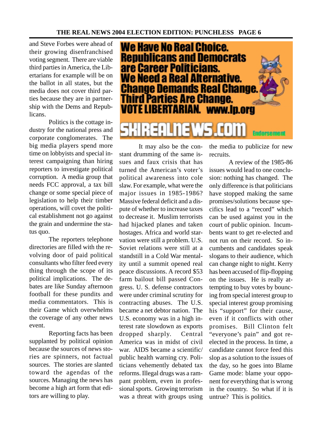and Steve Forbes were ahead of their growing disenfranchised voting segment. There are viable third parties in America, the Libertarians for example will be on the ballot in all states, but the media does not cover third parties because they are in partnership with the Dems and Republicans.

Politics is the cottage industry for the national press and corporate conglomerates. The big media players spend more time on lobbyists and special interest campaigning than hiring reporters to investigate political corruption. A media group that needs FCC approval, a tax bill change or some special piece of legislation to help their timber operations, will covet the political establishment not go against the grain and undermine the status quo.

The reporters telephone directories are filled with the revolving door of paid political consultants who filter feed every thing through the scope of its political implications. The debates are like Sunday afternoon football for these pundits and media commentators. This is their Game which overwhelms the coverage of any other news event.

Reporting facts has been supplanted by political opinion because the sources of news stories are spinners, not factual sources. The stories are slanted toward the agendas of the sources. Managing the news has become a high art form that editors are willing to play.



It may also be the constant drumming of the same issues and faux crisis that has turned the American's voter's political awareness into cole slaw. For example, what were the major issues in 1985-1986? Massive federal deficit and a dispute of whether to increase taxes to decrease it. Muslim terrorists had hijacked planes and taken hostages. Africa and world starvation were still a problem. U.S. Soviet relations were still at a standstill in a Cold War mentality until a summit opened real peace discussions. A record \$53 farm bailout bill passed Congress. U. S. defense contractors were under criminal scrutiny for contracting abuses. The U.S. became a net debtor nation. The U.S. economy was in a high interest rate slowdown as exports dropped sharply. Central America was in midst of civil war. AIDS became a scientific/ public health warning cry. Politicians vehemently debated tax reforms. Illegal drugs was a rampant problem, even in professional sports. Growing terrorism was a threat with groups using the media to publicize for new recruits.

A review of the 1985-86 issues would lead to one conclusion: nothing has changed. The only difference is that politicians have stopped making the same promises/solutions because specifics lead to a "record" which can be used against you in the court of public opinion. Incumbents want to get re-elected and not run on their record. So incumbents and candidates speak slogans to their audience, which can change night to night. Kerry has been accused of flip-flopping on the issues. He is really attempting to buy votes by bouncing from special interest group to special interest group promising his "support" for their cause, even if it conflicts with other promises. Bill Clinton felt "everyone's pain" and got reelected in the process. In time, a candidate cannot force feed this slop as a solution to the issues of the day, so he goes into Blame Game mode: blame your opponent for everything that is wrong in the country. So what if it is untrue? This is politics.